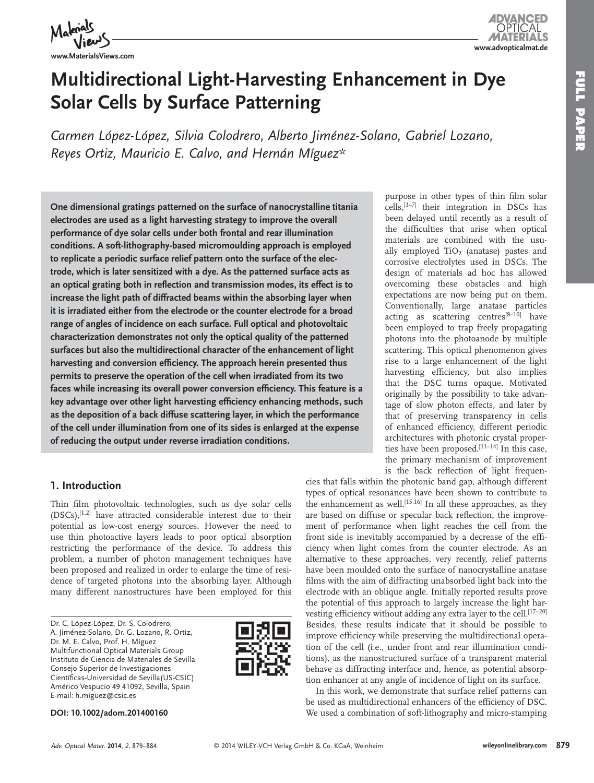

# **Multidirectional Light-Harvesting Enhancement in Dye Solar Cells by Surface Patterning**

 *Carmen López-López , Silvia Colodrero , Alberto Jiménez-Solano , Gabriel Lozano ,*  Reyes Ortiz, Mauricio E. Calvo, and Hernán Míguez\*

 **One dimensional gratings patterned on the surface of nanocrystalline titania electrodes are used as a light harvesting strategy to improve the overall performance of dye solar cells under both frontal and rear illumination conditions. A soft-lithography-based micromoulding approach is employed to replicate a periodic surface relief pattern onto the surface of the electrode, which is later sensitized with a dye. As the patterned surface acts as**  an optical grating both in reflection and transmission modes, its effect is to **increase the light path of diffracted beams within the absorbing layer when it is irradiated either from the electrode or the counter electrode for a broad range of angles of incidence on each surface. Full optical and photovoltaic characterization demonstrates not only the optical quality of the patterned surfaces but also the multidirectional character of the enhancement of light**  harvesting and conversion efficiency. The approach herein presented thus **permits to preserve the operation of the cell when irradiated from its two**  faces while increasing its overall power conversion efficiency. This feature is a key advantage over other light harvesting efficiency enhancing methods, such **as the deposition of a back diffuse scattering layer, in which the performance of the cell under illumination from one of its sides is enlarged at the expense of reducing the output under reverse irradiation conditions.** 

### **1. Introduction**

Thin film photovoltaic technologies, such as dye solar cells  $(DSCs)$ ,  $[1,2]$  have attracted considerable interest due to their potential as low-cost energy sources. However the need to use thin photoactive layers leads to poor optical absorption restricting the performance of the device. To address this problem, a number of photon management techniques have been proposed and realized in order to enlarge the time of residence of targeted photons into the absorbing layer. Although many different nanostructures have been employed for this

 Dr. C. López-López, Dr. S. Colodrero, A. Jiménez-Solano, Dr. G. Lozano, R. Ortiz, Dr. M. E. Calvo, Prof. H. Míguez Multifunctional Optical Materials Group Instituto de Ciencia de Materiales de Sevilla Consejo Superior de Investigaciones Científicas-Universidad de Sevilla (US-CSIC) Américo Vespucio 49 41092, Sevilla, Spain E-mail: h.miguez@csic.es



purpose in other types of thin film solar  $cells, <sup>[3–7]</sup>$  their integration in DSCs has been delayed until recently as a result of the difficulties that arise when optical materials are combined with the usually employed  $TiO<sub>2</sub>$  (anatase) pastes and corrosive electrolytes used in DSCs. The design of materials ad hoc has allowed overcoming these obstacles and high expectations are now being put on them. Conventionally, large anatase particles acting as scattering centres  $[8-10]$  have been employed to trap freely propagating photons into the photoanode by multiple scattering. This optical phenomenon gives rise to a large enhancement of the light harvesting efficiency, but also implies that the DSC turns opaque. Motivated originally by the possibility to take advantage of slow photon effects, and later by that of preserving transparency in cells of enhanced efficiency, different periodic architectures with photonic crystal properties have been proposed.  $[11-14]$  In this case, the primary mechanism of improvement is the back reflection of light frequen-

cies that falls within the photonic band gap, although different types of optical resonances have been shown to contribute to the enhancement as well.<sup>[15,16]</sup> In all these approaches, as they are based on diffuse or specular back reflection, the improvement of performance when light reaches the cell from the front side is inevitably accompanied by a decrease of the efficiency when light comes from the counter electrode. As an alternative to these approaches, very recently, relief patterns have been moulded onto the surface of nanocrystalline anatase films with the aim of diffracting unabsorbed light back into the electrode with an oblique angle. Initially reported results prove the potential of this approach to largely increase the light harvesting efficiency without adding any extra layer to the cell. [17-20] Besides, these results indicate that it should be possible to improve efficiency while preserving the multidirectional operation of the cell (i.e., under front and rear illumination conditions), as the nanostructured surface of a transparent material behave as diffracting interface and, hence, as potential absorption enhancer at any angle of incidence of light on its surface.

 In this work, we demonstrate that surface relief patterns can be used as multidirectional enhancers of the efficiency of DSC. We used a combination of soft-lithography and micro-stamping

**DOI: 10.1002/adom.201400160**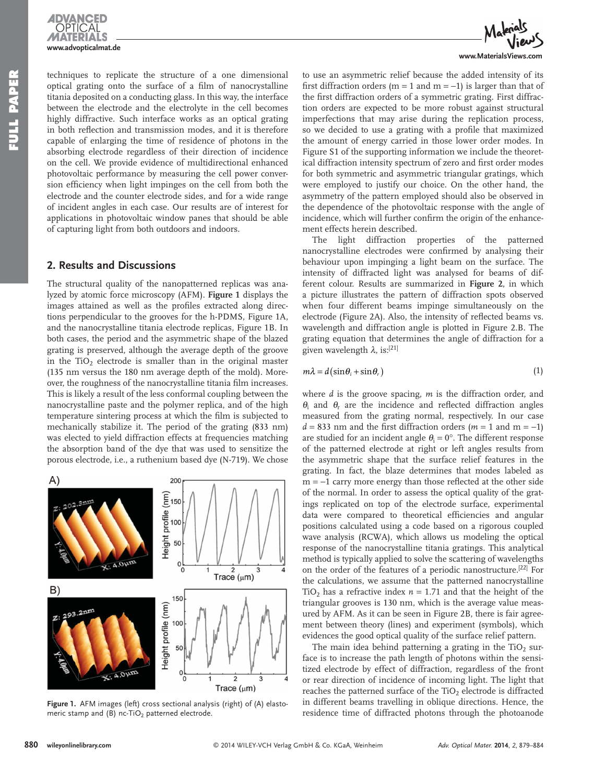

techniques to replicate the structure of a one dimensional optical grating onto the surface of a film of nanocrystalline titania deposited on a conducting glass. In this way, the interface between the electrode and the electrolyte in the cell becomes highly diffractive. Such interface works as an optical grating in both reflection and transmission modes, and it is therefore capable of enlarging the time of residence of photons in the absorbing electrode regardless of their direction of incidence on the cell. We provide evidence of multidirectional enhanced photovoltaic performance by measuring the cell power conversion efficiency when light impinges on the cell from both the electrode and the counter electrode sides, and for a wide range of incident angles in each case. Our results are of interest for applications in photovoltaic window panes that should be able of capturing light from both outdoors and indoors.

#### **2. Results and Discussions**

 The structural quality of the nanopatterned replicas was analyzed by atomic force microscopy (AFM). **Figure 1** displays the images attained as well as the profiles extracted along directions perpendicular to the grooves for the h-PDMS, Figure 1A, and the nanocrystalline titania electrode replicas, Figure 1B. In both cases, the period and the asymmetric shape of the blazed grating is preserved, although the average depth of the groove in the TiO<sub>2</sub> electrode is smaller than in the original master (135 nm versus the 180 nm average depth of the mold). Moreover, the roughness of the nanocrystalline titania film increases. This is likely a result of the less conformal coupling between the nanocrystalline paste and the polymer replica, and of the high temperature sintering process at which the film is subjected to mechanically stabilize it. The period of the grating (833 nm) was elected to yield diffraction effects at frequencies matching the absorption band of the dye that was used to sensitize the porous electrode, i.e., a ruthenium based dye (N-719). We chose



**Figure 1.** AFM images (left) cross sectional analysis (right) of (A) elastomeric stamp and (B) nc-TiO<sub>2</sub> patterned electrode.



to use an asymmetric relief because the added intensity of its first diffraction orders (m = 1 and m = -1) is larger than that of the first diffraction orders of a symmetric grating. First diffraction orders are expected to be more robust against structural imperfections that may arise during the replication process, so we decided to use a grating with a profile that maximized the amount of energy carried in those lower order modes. In Figure S1 of the supporting information we include the theoretical diffraction intensity spectrum of zero and first order modes for both symmetric and asymmetric triangular gratings, which were employed to justify our choice. On the other hand, the asymmetry of the pattern employed should also be observed in the dependence of the photovoltaic response with the angle of incidence, which will further confirm the origin of the enhancement effects herein described.

 The light diffraction properties of the patterned nanocrystalline electrodes were confirmed by analysing their behaviour upon impinging a light beam on the surface. The intensity of diffracted light was analysed for beams of different colour. Results are summarized in **Figure 2** , in which a picture illustrates the pattern of diffraction spots observed when four different beams impinge simultaneously on the electrode (Figure 2A). Also, the intensity of reflected beams vs. wavelength and diffraction angle is plotted in Figure 2.B. The grating equation that determines the angle of diffraction for a given wavelength  $\lambda$ , is:<sup>[21]</sup>

$$
m\lambda = d(\sin\theta_i + \sin\theta_r) \tag{1}
$$

 where *d* is the groove spacing, *m* is the diffraction order, and  $\theta_i$  and  $\theta_r$  are the incidence and reflected diffraction angles measured from the grating normal, respectively. In our case  $d = 833$  nm and the first diffraction orders ( $m = 1$  and  $m = -1$ ) are studied for an incident angle  $\theta_i = 0^\circ$ . The different response of the patterned electrode at right or left angles results from the asymmetric shape that the surface relief features in the grating. In fact, the blaze determines that modes labeled as  $m = -1$  carry more energy than those reflected at the other side of the normal. In order to assess the optical quality of the gratings replicated on top of the electrode surface, experimental data were compared to theoretical efficiencies and angular positions calculated using a code based on a rigorous coupled wave analysis (RCWA), which allows us modeling the optical response of the nanocrystalline titania gratings. This analytical method is typically applied to solve the scattering of wavelengths on the order of the features of a periodic nanostructure.<sup>[22]</sup> For the calculations, we assume that the patterned nanocrystalline TiO<sub>2</sub> has a refractive index  $n = 1.71$  and that the height of the triangular grooves is 130 nm, which is the average value measured by AFM. As it can be seen in Figure 2B, there is fair agreement between theory (lines) and experiment (symbols), which evidences the good optical quality of the surface relief pattern.

The main idea behind patterning a grating in the  $TiO<sub>2</sub>$  surface is to increase the path length of photons within the sensitized electrode by effect of diffraction, regardless of the front or rear direction of incidence of incoming light. The light that reaches the patterned surface of the  $TiO<sub>2</sub>$  electrode is diffracted in different beams travelling in oblique directions. Hence, the residence time of diffracted photons through the photoanode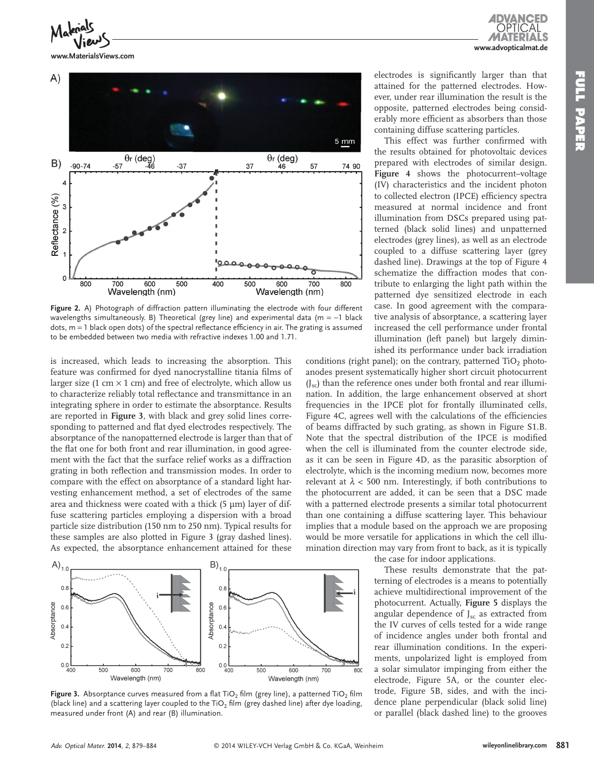

**www.MaterialsViews.com**



**Figure 2.** A) Photograph of diffraction pattern illuminating the electrode with four different wavelengths simultaneously. B) Theoretical (grey line) and experimental data (m =  $-1$  black dots,  $m = 1$  black open dots) of the spectral reflectance efficiency in air. The grating is assumed to be embedded between two media with refractive indexes 1.00 and 1.71.

is increased, which leads to increasing the absorption. This feature was confirmed for dyed nanocrystalline titania films of larger size (1 cm  $\times$  1 cm) and free of electrolyte, which allow us to characterize reliably total reflectance and transmittance in an integrating sphere in order to estimate the absorptance. Results are reported in **Figure 3** , with black and grey solid lines corresponding to patterned and flat dyed electrodes respectively. The absorptance of the nanopatterned electrode is larger than that of the flat one for both front and rear illumination, in good agreement with the fact that the surface relief works as a diffraction grating in both reflection and transmission modes. In order to compare with the effect on absorptance of a standard light harvesting enhancement method, a set of electrodes of the same area and thickness were coated with a thick (5 µm) layer of diffuse scattering particles employing a dispersion with a broad particle size distribution (150 nm to 250 nm). Typical results for these samples are also plotted in Figure 3 (gray dashed lines). As expected, the absorptance enhancement attained for these



Figure 3. Absorptance curves measured from a flat TiO<sub>2</sub> film (grey line), a patterned TiO<sub>2</sub> film (black line) and a scattering layer coupled to the TiO<sub>2</sub> film (grey dashed line) after dye loading, measured under front (A) and rear (B) illumination.

electrodes is significantly larger than that attained for the patterned electrodes. However, under rear illumination the result is the opposite, patterned electrodes being considerably more efficient as absorbers than those containing diffuse scattering particles.

**www.advopticalmat.de**

This effect was further confirmed with the results obtained for photovoltaic devices prepared with electrodes of similar design. **Figure 4** shows the photocurrent–voltage (IV) characteristics and the incident photon to collected electron (IPCE) efficiency spectra measured at normal incidence and front illumination from DSCs prepared using patterned (black solid lines) and unpatterned electrodes (grey lines), as well as an electrode coupled to a diffuse scattering layer (grey dashed line). Drawings at the top of Figure 4 schematize the diffraction modes that contribute to enlarging the light path within the patterned dye sensitized electrode in each case. In good agreement with the comparative analysis of absorptance, a scattering layer increased the cell performance under frontal illumination (left panel) but largely diminished its performance under back irradiation

conditions (right panel); on the contrary, patterned  $TiO<sub>2</sub>$  photoanodes present systematically higher short circuit photocurrent  $(J_{\rm sc})$  than the reference ones under both frontal and rear illumination. In addition, the large enhancement observed at short frequencies in the IPCE plot for frontally illuminated cells, Figure 4C, agrees well with the calculations of the efficiencies of beams diffracted by such grating, as shown in Figure S1.B. Note that the spectral distribution of the IPCE is modified when the cell is illuminated from the counter electrode side, as it can be seen in Figure 4D, as the parasitic absorption of electrolyte, which is the incoming medium now, becomes more relevant at  $\lambda$  < 500 nm. Interestingly, if both contributions to the photocurrent are added, it can be seen that a DSC made with a patterned electrode presents a similar total photocurrent than one containing a diffuse scattering layer. This behaviour implies that a module based on the approach we are proposing would be more versatile for applications in which the cell illumination direction may vary from front to back, as it is typically

the case for indoor applications.

 These results demonstrate that the patterning of electrodes is a means to potentially achieve multidirectional improvement of the photocurrent. Actually, **Figure 5** displays the angular dependence of  $J_{\rm sc}$  as extracted from the IV curves of cells tested for a wide range of incidence angles under both frontal and rear illumination conditions. In the experiments, unpolarized light is employed from a solar simulator impinging from either the electrode, Figure 5A, or the counter electrode, Figure 5B, sides, and with the incidence plane perpendicular (black solid line) or parallel (black dashed line) to the grooves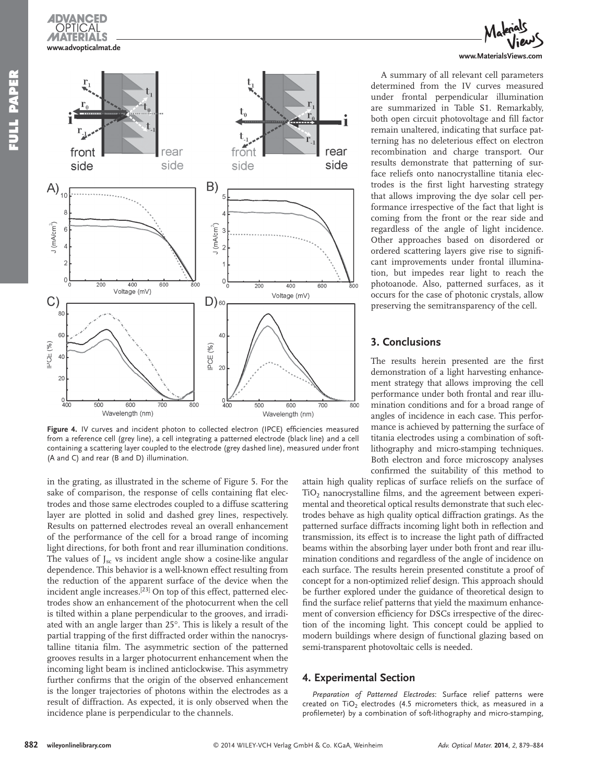VANCED



Figure 4. IV curves and incident photon to collected electron (IPCE) efficiencies measured from a reference cell (grey line), a cell integrating a patterned electrode (black line) and a cell containing a scattering layer coupled to the electrode (grey dashed line), measured under front (A and C) and rear (B and D) illumination.

in the grating, as illustrated in the scheme of Figure 5 . For the sake of comparison, the response of cells containing flat electrodes and those same electrodes coupled to a diffuse scattering layer are plotted in solid and dashed grey lines, respectively. Results on patterned electrodes reveal an overall enhancement of the performance of the cell for a broad range of incoming light directions, for both front and rear illumination conditions. The values of  $J_{\rm sc}$  vs incident angle show a cosine-like angular dependence. This behavior is a well-known effect resulting from the reduction of the apparent surface of the device when the incident angle increases.<sup>[23]</sup> On top of this effect, patterned electrodes show an enhancement of the photocurrent when the cell is tilted within a plane perpendicular to the grooves, and irradiated with an angle larger than 25°. This is likely a result of the partial trapping of the first diffracted order within the nanocrystalline titania film. The asymmetric section of the patterned grooves results in a larger photocurrent enhancement when the incoming light beam is inclined anticlockwise. This asymmetry further confirms that the origin of the observed enhancement is the longer trajectories of photons within the electrodes as a result of diffraction. As expected, it is only observed when the incidence plane is perpendicular to the channels.



**www.MaterialsViews.com**

 A summary of all relevant cell parameters determined from the IV curves measured under frontal perpendicular illumination are summarized in Table S1. Remarkably, both open circuit photovoltage and fill factor remain unaltered, indicating that surface patterning has no deleterious effect on electron recombination and charge transport. Our results demonstrate that patterning of surface reliefs onto nanocrystalline titania electrodes is the first light harvesting strategy that allows improving the dye solar cell performance irrespective of the fact that light is coming from the front or the rear side and regardless of the angle of light incidence. Other approaches based on disordered or ordered scattering layers give rise to significant improvements under frontal illumination, but impedes rear light to reach the photoanode. Also, patterned surfaces, as it occurs for the case of photonic crystals, allow preserving the semitransparency of the cell.

### **3. Conclusions**

The results herein presented are the first demonstration of a light harvesting enhancement strategy that allows improving the cell performance under both frontal and rear illumination conditions and for a broad range of angles of incidence in each case. This performance is achieved by patterning the surface of titania electrodes using a combination of softlithography and micro-stamping techniques. Both electron and force microscopy analyses confirmed the suitability of this method to

attain high quality replicas of surface reliefs on the surface of  $TiO<sub>2</sub>$  nanocrystalline films, and the agreement between experimental and theoretical optical results demonstrate that such electrodes behave as high quality optical diffraction gratings. As the patterned surface diffracts incoming light both in reflection and transmission, its effect is to increase the light path of diffracted beams within the absorbing layer under both front and rear illumination conditions and regardless of the angle of incidence on each surface. The results herein presented constitute a proof of concept for a non-optimized relief design. This approach should be further explored under the guidance of theoretical design to find the surface relief patterns that yield the maximum enhancement of conversion efficiency for DSCs irrespective of the direction of the incoming light. This concept could be applied to modern buildings where design of functional glazing based on semi-transparent photovoltaic cells is needed.

#### **4. Experimental Section**

Preparation of Patterned Electrodes: Surface relief patterns were created on TiO<sub>2</sub> electrodes (4.5 micrometers thick, as measured in a profilemeter) by a combination of soft-lithography and micro-stamping,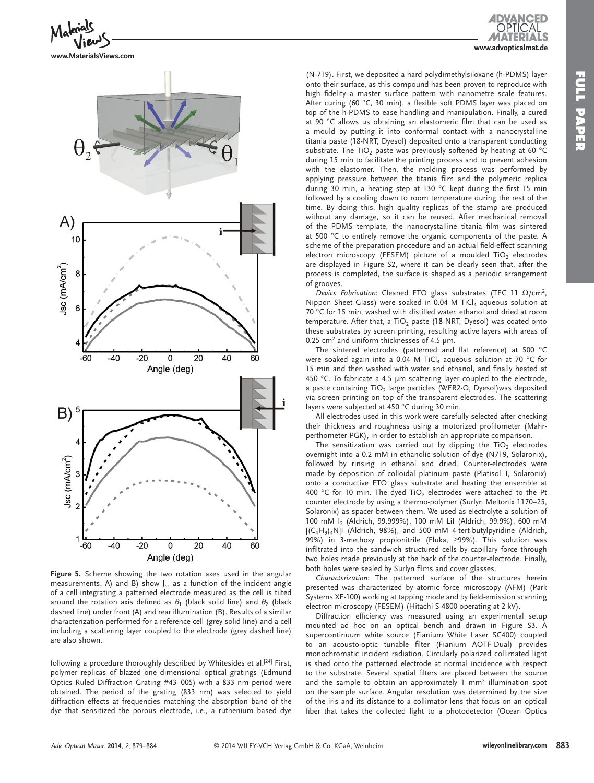

**www.MaterialsViews.com**



**Figure 5.** Scheme showing the two rotation axes used in the angular measurements. A) and B) show  $J_{\rm sc}$  as a function of the incident angle of a cell integrating a patterned electrode measured as the cell is tilted around the rotation axis defined as  $\theta_1$  (black solid line) and  $\theta_2$  (black dashed line) under front (A) and rear illumination (B). Results of a similar characterization performed for a reference cell (grey solid line) and a cell including a scattering layer coupled to the electrode (grey dashed line) are also shown.

following a procedure thoroughly described by Whitesides et al.<sup>[24]</sup> First, polymer replicas of blazed one dimensional optical gratings (Edmund Optics Ruled Diffraction Grating #43–005) with a 833 nm period were obtained. The period of the grating (833 nm) was selected to yield diffraction effects at frequencies matching the absorption band of the dye that sensitized the porous electrode, i.e., a ruthenium based dye

(N-719). First, we deposited a hard polydimethylsiloxane (h-PDMS) layer onto their surface, as this compound has been proven to reproduce with high fidelity a master surface pattern with nanometre scale features. After curing (60 $^{\circ}$ C, 30 min), a flexible soft PDMS layer was placed on top of the h-PDMS to ease handling and manipulation. Finally, a cured at 90 °C allows us obtaining an elastomeric film that can be used as a mould by putting it into conformal contact with a nanocrystalline titania paste (18-NRT, Dyesol) deposited onto a transparent conducting substrate. The TiO<sub>2</sub> paste was previously softened by heating at 60 °C during 15 min to facilitate the printing process and to prevent adhesion with the elastomer. Then, the molding process was performed by applying pressure between the titania film and the polymeric replica during 30 min, a heating step at 130 °C kept during the first 15 min followed by a cooling down to room temperature during the rest of the time. By doing this, high quality replicas of the stamp are produced without any damage, so it can be reused. After mechanical removal of the PDMS template, the nanocrystalline titania film was sintered at 500 °C to entirely remove the organic components of the paste. A scheme of the preparation procedure and an actual field-effect scanning electron microscopy (FESEM) picture of a moulded  $TiO<sub>2</sub>$  electrodes are displayed in Figure S2, where it can be clearly seen that, after the process is completed, the surface is shaped as a periodic arrangement of grooves.

Device Fabrication: Cleaned FTO glass substrates (TEC 11 Ω/cm<sup>2</sup>, Nippon Sheet Glass) were soaked in 0.04 M TiCl<sub>4</sub> aqueous solution at 70 °C for 15 min, washed with distilled water, ethanol and dried at room temperature. After that, a  $TiO<sub>2</sub>$  paste (18-NRT, Dyesol) was coated onto these substrates by screen printing, resulting active layers with areas of 0.25 cm<sup>2</sup> and uniform thicknesses of 4.5  $\mu$ m.

The sintered electrodes (patterned and flat reference) at 500  $^{\circ}$ C were soaked again into a 0.04 M TiCl<sub>4</sub> aqueous solution at 70 °C for 15 min and then washed with water and ethanol, and finally heated at 450 °C. To fabricate a 4.5 µm scattering layer coupled to the electrode, a paste containing  $TiO<sub>2</sub>$  large particles (WER2-O, Dyesol)was deposited via screen printing on top of the transparent electrodes. The scattering layers were subjected at 450 °C during 30 min.

 All electrodes used in this work were carefully selected after checking their thickness and roughness using a motorized profilometer (Mahrperthometer PGK), in order to establish an appropriate comparison.

The sensitization was carried out by dipping the TiO<sub>2</sub> electrodes overnight into a 0.2 mM in ethanolic solution of dye (N719, Solaronix), followed by rinsing in ethanol and dried. Counter-electrodes were made by deposition of colloidal platinum paste (Platisol T, Solaronix) onto a conductive FTO glass substrate and heating the ensemble at 400 °C for 10 min. The dyed TiO<sub>2</sub> electrodes were attached to the Pt counter electrode by using a thermo-polymer (Surlyn Meltonix 1170–25, Solaronix) as spacer between them. We used as electrolyte a solution of 100 mM I<sub>2</sub> (Aldrich, 99.999%), 100 mM LiI (Aldrich, 99.9%), 600 mM  $[(C_4H_9)_4N]$ I (Aldrich, 98%), and 500 mM 4-tert-butylpyridine (Aldrich, 99%) in 3-methoxy propionitrile (Fluka, ≥99%). This solution was infiltrated into the sandwich structured cells by capillary force through two holes made previously at the back of the counter-electrode. Finally, both holes were sealed by Surlyn films and cover glasses.

*Characterization*: The patterned surface of the structures herein presented was characterized by atomic force microscopy (AFM) (Park Systems XE-100) working at tapping mode and by field-emission scanning electron microscopy (FESEM) (Hitachi S-4800 operating at 2 kV).

Diffraction efficiency was measured using an experimental setup mounted ad hoc on an optical bench and drawn in Figure S3. A supercontinuum white source (Fianium White Laser SC400) coupled to an acousto-optic tunable filter (Fianium AOTF-Dual) provides monochromatic incident radiation. Circularly polarized collimated light is shed onto the patterned electrode at normal incidence with respect to the substrate. Several spatial filters are placed between the source and the sample to obtain an approximately  $1 \text{ mm}^2$  illumination spot on the sample surface. Angular resolution was determined by the size of the iris and its distance to a collimator lens that focus on an optical fiber that takes the collected light to a photodetector (Ocean Optics